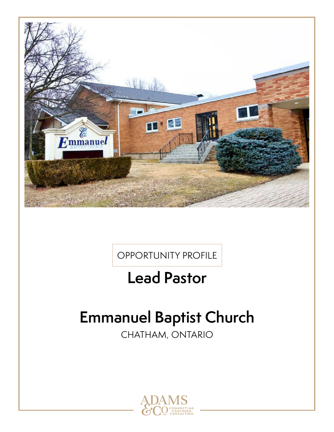

OPPORTUNITY PROFILE

## **Lead Pastor**

# **Emmanuel Baptist Church**

CHATHAM, ONTARIO

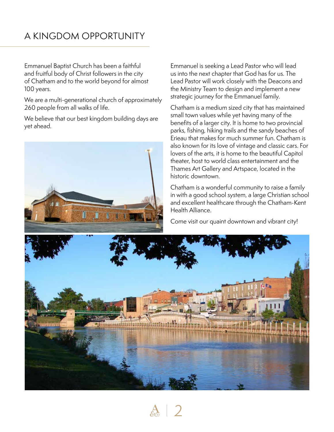### A KINGDOM OPPORTUNITY

Emmanuel Baptist Church has been a faithful and fruitful body of Christ followers in the city of Chatham and to the world beyond for almost 100 years.

We are a multi-generational church of approximately 260 people from all walks of life.

We believe that our best kingdom building days are yet ahead.



Emmanuel is seeking a Lead Pastor who will lead us into the next chapter that God has for us. The Lead Pastor will work closely with the Deacons and the Ministry Team to design and implement a new strategic journey for the Emmanuel family.

Chatham is a medium sized city that has maintained small town values while yet having many of the benefits of a larger city. It is home to two provincial parks, fishing, hiking trails and the sandy beaches of Erieau that makes for much summer fun. Chatham is also known for its love of vintage and classic cars. For lovers of the arts, it is home to the beautiful Capitol theater, host to world class entertainment and the Thames Art Gallery and Artspace, located in the historic downtown.

Chatham is a wonderful community to raise a family in with a good school system, a large Christian school and excellent healthcare through the Chatham-Kent Health Alliance.

Come visit our quaint downtown and vibrant city!



 $\frac{A}{2}$  | 2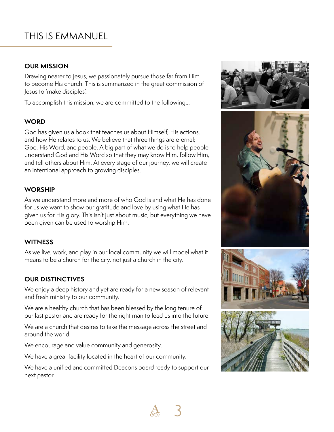### THIS IS EMMANUEL

### **OUR MISSION**

Drawing nearer to Jesus, we passionately pursue those far from Him to become His church. This is summarized in the great commission of Jesus to 'make disciples'.

To accomplish this mission, we are committed to the following…

### **WORD**

God has given us a book that teaches us about Himself, His actions, and how He relates to us. We believe that three things are eternal; God, His Word, and people. A big part of what we do is to help people understand God and His Word so that they may know Him, follow Him, and tell others about Him. At every stage of our journey, we will create an intentional approach to growing disciples.

#### **WORSHIP**

As we understand more and more of who God is and what He has done for us we want to show our gratitude and love by using what He has given us for His glory. This isn't just about music, but everything we have been given can be used to worship Him.

### **WITNESS**

As we live, work, and play in our local community we will model what it means to be a church for the city, not just a church in the city.

### **OUR DISTINCTIVES**

We enjoy a deep history and yet are ready for a new season of relevant and fresh ministry to our community.

We are a healthy church that has been blessed by the long tenure of our last pastor and are ready for the right man to lead us into the future.

We are a church that desires to take the message across the street and around the world.

We encourage and value community and generosity.

We have a great facility located in the heart of our community.

We have a unified and committed Deacons board ready to support our next pastor.







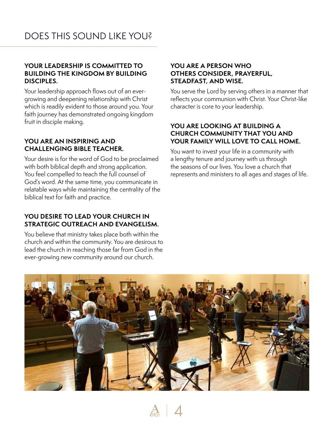### **YOUR LEADERSHIP IS COMMITTED TO BUILDING THE KINGDOM BY BUILDING DISCIPLES.**

Your leadership approach flows out of an evergrowing and deepening relationship with Christ which is readily evident to those around you. Your faith journey has demonstrated ongoing kingdom fruit in disciple making.

### **YOU ARE AN INSPIRING AND CHALLENGING BIBLE TEACHER.**

Your desire is for the word of God to be proclaimed with both biblical depth and strong application. You feel compelled to teach the full counsel of God's word. At the same time, you communicate in relatable ways while maintaining the centrality of the biblical text for faith and practice.

### **YOU DESIRE TO LEAD YOUR CHURCH IN STRATEGIC OUTREACH AND EVANGELISM.**

You believe that ministry takes place both within the church and within the community. You are desirous to lead the church in reaching those far from God in the ever-growing new community around our church.

### **YOU ARE A PERSON WHO OTHERS CONSIDER, PRAYERFUL, STEADFAST, AND WISE.**

You serve the Lord by serving others in a manner that reflects your communion with Christ. Your Christ-like character is core to your leadership.

### **YOU ARE LOOKING AT BUILDING A CHURCH COMMUNITY THAT YOU AND YOUR FAMILY WILL LOVE TO CALL HOME.**

You want to invest your life in a community with a lengthy tenure and journey with us through the seasons of our lives. You love a church that represents and ministers to all ages and stages of life.



4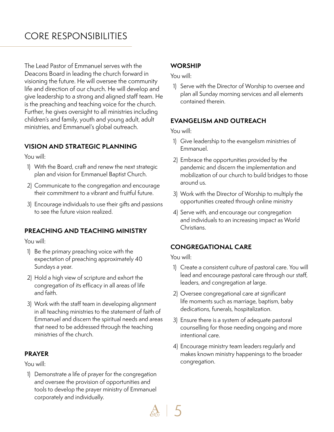### CORE RESPONSIBILITIES

The Lead Pastor of Emmanuel serves with the Deacons Board in leading the church forward in visioning the future. He will oversee the community life and direction of our church. He will develop and give leadership to a strong and aligned staff team. He is the preaching and teaching voice for the church. Further, he gives oversight to all ministries including children's and family, youth and young adult, adult ministries, and Emmanuel's global outreach.

### **VISION AND STRATEGIC PLANNING**

You will:

- 1) With the Board, craft and renew the next strategic plan and vision for Emmanuel Baptist Church.
- 2) Communicate to the congregation and encourage their commitment to a vibrant and fruitful future.
- 3) Encourage individuals to use their gifts and passions to see the future vision realized.

### **PREACHING AND TEACHING MINISTRY**

You will:

- 1) Be the primary preaching voice with the expectation of preaching approximately 40 Sundays a year.
- 2) Hold a high view of scripture and exhort the congregation of its efficacy in all areas of life and faith.
- 3) Work with the staff team in developing alignment in all teaching ministries to the statement of faith of Emmanuel and discern the spiritual needs and areas that need to be addressed through the teaching ministries of the church.

### **PRAYER**

You will:

1) Demonstrate a life of prayer for the congregation and oversee the provision of opportunities and tools to develop the prayer ministry of Emmanuel corporately and individually.

### **WORSHIP**

You will:

1) Serve with the Director of Worship to oversee and plan all Sunday morning services and all elements contained therein.

### **EVANGELISM AND OUTREACH**

You will:

- 1) Give leadership to the evangelism ministries of Emmanuel.
- 2) Embrace the opportunities provided by the pandemic and discern the implementation and mobilization of our church to build bridges to those around us.
- 3) Work with the Director of Worship to multiply the opportunities created through online ministry
- 4) Serve with, and encourage our congregation and individuals to an increasing impact as World Christians.

### **CONGREGATIONAL CARE**

You will:

 $\mathbb{A}$  | 5

- 1) Create a consistent culture of pastoral care. You will lead and encourage pastoral care through our staff, leaders, and congregation at large.
- 2) Oversee congregational care at significant life moments such as marriage, baptism, baby dedications, funerals, hospitalization.
- 3) Ensure there is a system of adequate pastoral counselling for those needing ongoing and more intentional care.
- 4) Encourage ministry team leaders regularly and makes known ministry happenings to the broader congregation.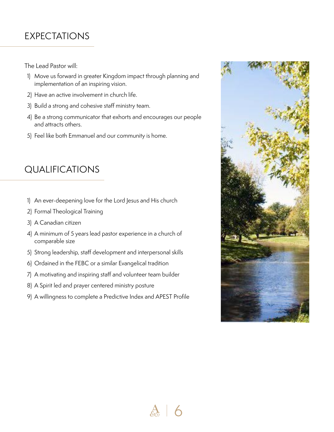### EXPECTATIONS

The Lead Pastor will:

- 1) Move us forward in greater Kingdom impact through planning and implementation of an inspiring vision.
- 2) Have an active involvement in church life.
- 3) Build a strong and cohesive staff ministry team.
- 4) Be a strong communicator that exhorts and encourages our people and attracts others.
- 5) Feel like both Emmanuel and our community is home.

## QUALIFICATIONS

- 1) An ever-deepening love for the Lord Jesus and His church
- 2) Formal Theological Training
- 3) A Canadian citizen
- 4) A minimum of 5 years lead pastor experience in a church of comparable size
- 5) Strong leadership, staff development and interpersonal skills
- 6) Ordained in the FEBC or a similar Evangelical tradition
- 7) A motivating and inspiring staff and volunteer team builder
- 8) A Spirit led and prayer centered ministry posture
- 9) A willingness to complete a Predictive Index and APEST Profile

 $\frac{A}{60}$  6